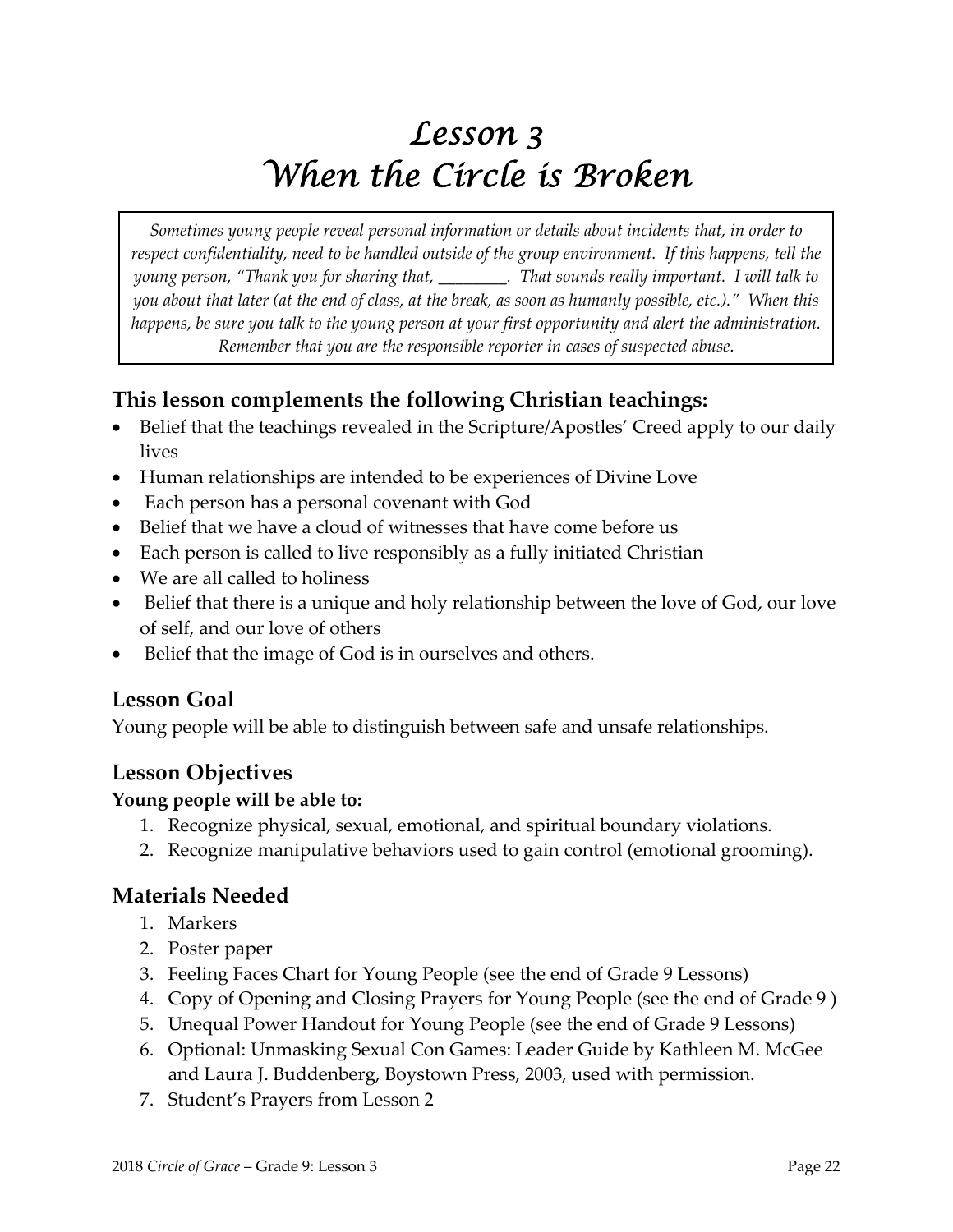# *Lesson 3 When the Circle is Broken*

*Sometimes young people reveal personal information or details about incidents that, in order to respect confidentiality, need to be handled outside of the group environment. If this happens, tell the* young person, "Thank you for sharing that, \_\_\_\_\_\_\_\_\_. That sounds really important. I will talk to you about that later (at the end of class, at the break, as soon as humanly possible, etc.)." When this happens, be sure you talk to the young person at your first opportunity and alert the administration. *Remember that you are the responsible reporter in cases of suspected abuse*.

# **This lesson complements the following Christian teachings:**

- Belief that the teachings revealed in the Scripture/Apostles' Creed apply to our daily lives
- Human relationships are intended to be experiences of Divine Love
- Each person has a personal covenant with God
- Belief that we have a cloud of witnesses that have come before us
- Each person is called to live responsibly as a fully initiated Christian
- We are all called to holiness
- Belief that there is a unique and holy relationship between the love of God, our love of self, and our love of others
- Belief that the image of God is in ourselves and others.

# **Lesson Goal**

Young people will be able to distinguish between safe and unsafe relationships.

# **Lesson Objectives**

#### **Young people will be able to:**

- 1. Recognize physical, sexual, emotional, and spiritual boundary violations.
- 2. Recognize manipulative behaviors used to gain control (emotional grooming).

# **Materials Needed**

- 1. Markers
- 2. Poster paper
- 3. Feeling Faces Chart for Young People (see the end of Grade 9 Lessons)
- 4. Copy of Opening and Closing Prayers for Young People (see the end of Grade 9 )
- 5. Unequal Power Handout for Young People (see the end of Grade 9 Lessons)
- 6. Optional: Unmasking Sexual Con Games: Leader Guide by Kathleen M. McGee and Laura J. Buddenberg, Boystown Press, 2003, used with permission.
- 7. Student's Prayers from Lesson 2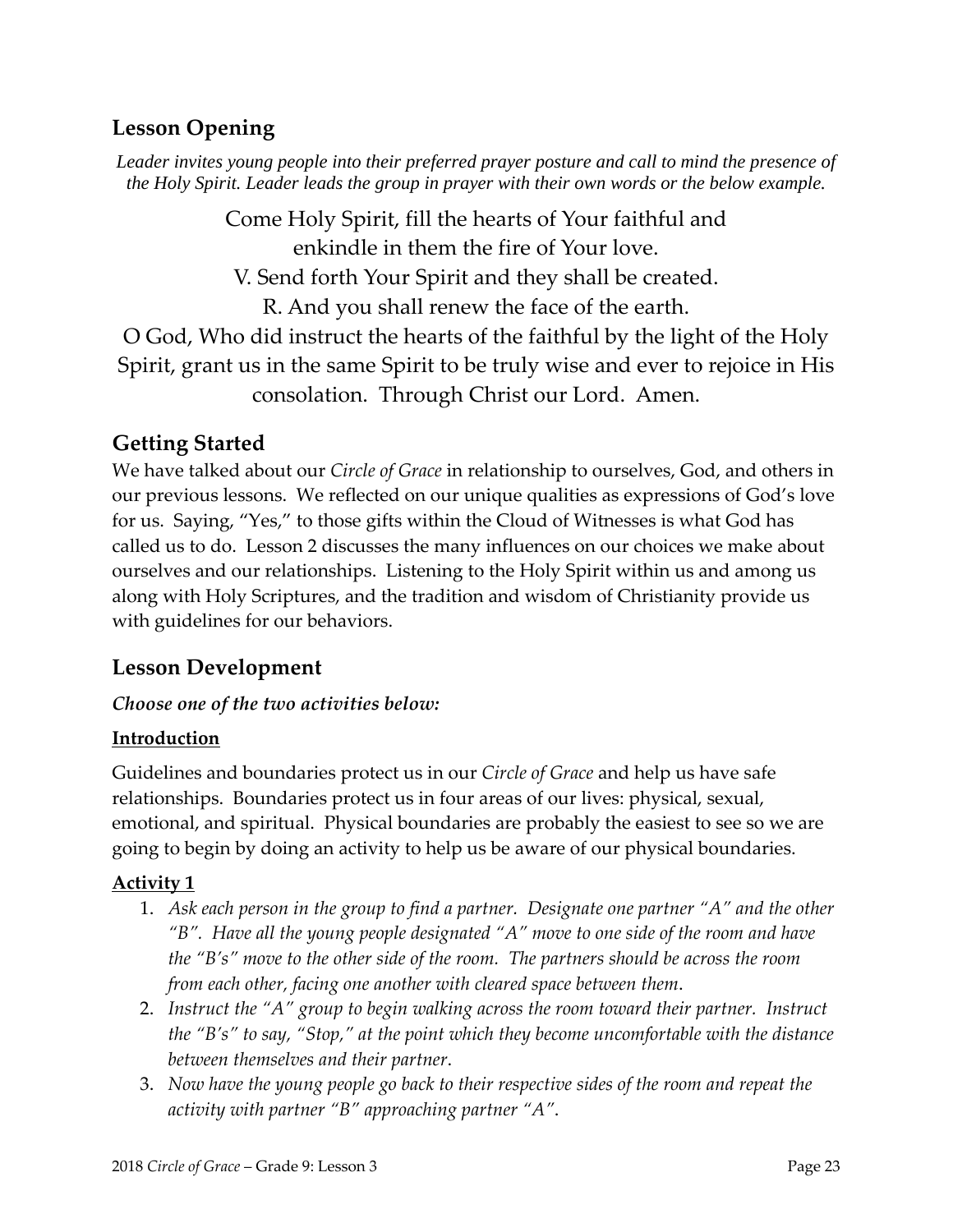# **Lesson Opening**

*Leader invites young people into their preferred prayer posture and call to mind the presence of the Holy Spirit. Leader leads the group in prayer with their own words or the below example.* 

> Come Holy Spirit, fill the hearts of Your faithful and enkindle in them the fire of Your love.

V. Send forth Your Spirit and they shall be created. R. And you shall renew the face of the earth.

O God, Who did instruct the hearts of the faithful by the light of the Holy Spirit, grant us in the same Spirit to be truly wise and ever to rejoice in His consolation. Through Christ our Lord. Amen.

# **Getting Started**

We have talked about our *Circle of Grace* in relationship to ourselves, God, and others in our previous lessons. We reflected on our unique qualities as expressions of God's love for us. Saying, "Yes," to those gifts within the Cloud of Witnesses is what God has called us to do. Lesson 2 discusses the many influences on our choices we make about ourselves and our relationships. Listening to the Holy Spirit within us and among us along with Holy Scriptures, and the tradition and wisdom of Christianity provide us with guidelines for our behaviors.

# **Lesson Development**

# *Choose one of the two activities below:*

# **Introduction**

Guidelines and boundaries protect us in our *Circle of Grace* and help us have safe relationships. Boundaries protect us in four areas of our lives: physical, sexual, emotional, and spiritual. Physical boundaries are probably the easiest to see so we are going to begin by doing an activity to help us be aware of our physical boundaries.

# **Activity 1**

- 1. *Ask each person in the group to find a partner. Designate one partner "A" and the other "B". Have all the young people designated "A" move to one side of the room and have the "B's" move to the other side of the room. The partners should be across the room from each other, facing one another with cleared space between them*.
- 2. *Instruct the "A" group to begin walking across the room toward their partner. Instruct the "B's" to say, "Stop," at the point which they become uncomfortable with the distance between themselves and their partner*.
- 3. *Now have the young people go back to their respective sides of the room and repeat the activity with partner "B" approaching partner "A"*.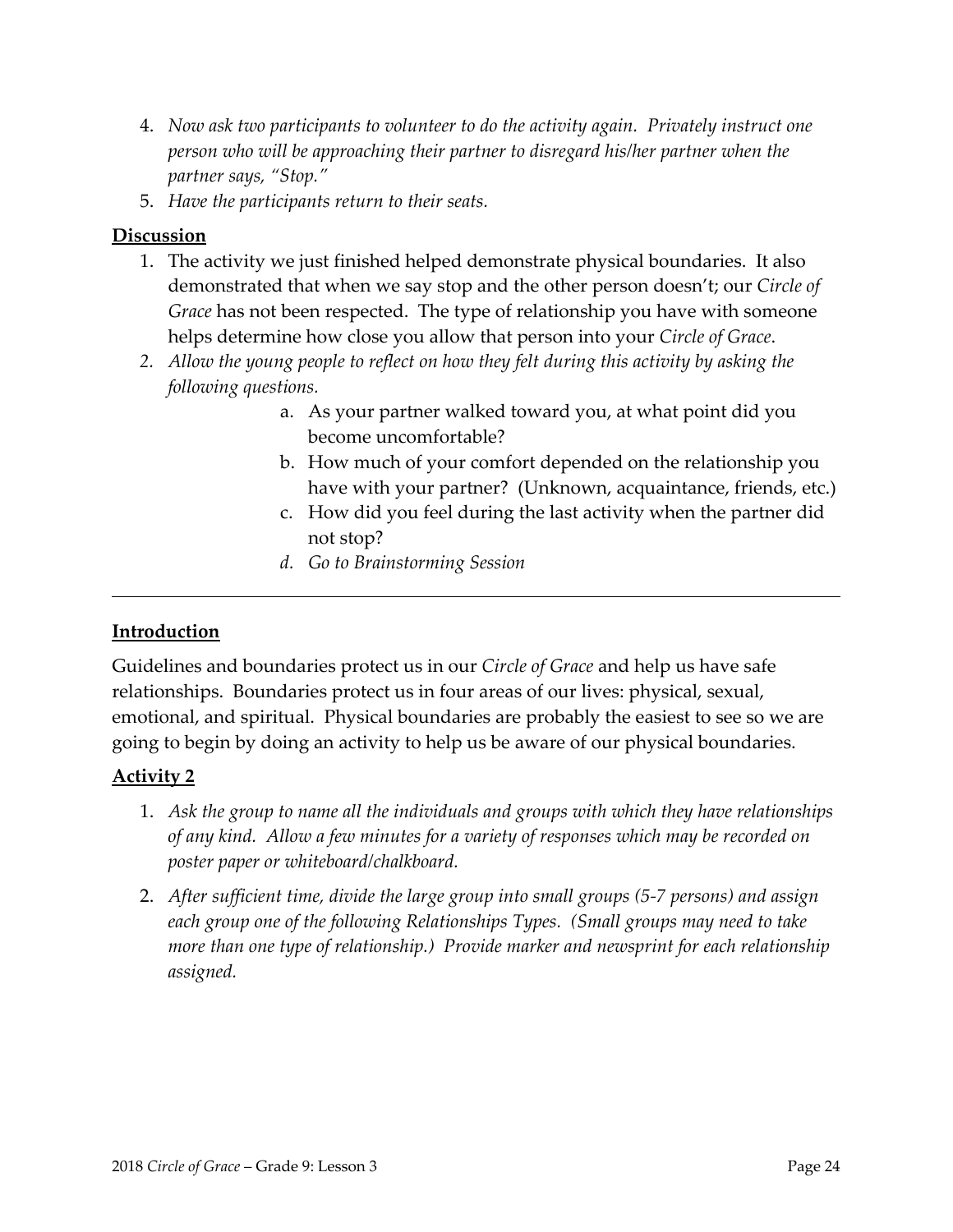- 4. *Now ask two participants to volunteer to do the activity again. Privately instruct one person who will be approaching their partner to disregard his/her partner when the partner says, "Stop."*
- 5. *Have the participants return to their seats.*

#### **Discussion**

- 1. The activity we just finished helped demonstrate physical boundaries. It also demonstrated that when we say stop and the other person doesn't; our *Circle of Grace* has not been respected. The type of relationship you have with someone helps determine how close you allow that person into your *Circle of Grace*.
- *2. Allow the young people to reflect on how they felt during this activity by asking the following questions.*
	- a. As your partner walked toward you, at what point did you become uncomfortable?
	- b. How much of your comfort depended on the relationship you have with your partner? (Unknown, acquaintance, friends, etc.)
	- c. How did you feel during the last activity when the partner did not stop?
	- *d. Go to Brainstorming Session*

#### **Introduction**

Guidelines and boundaries protect us in our *Circle of Grace* and help us have safe relationships. Boundaries protect us in four areas of our lives: physical, sexual, emotional, and spiritual. Physical boundaries are probably the easiest to see so we are going to begin by doing an activity to help us be aware of our physical boundaries.

#### **Activity 2**

- 1. *Ask the group to name all the individuals and groups with which they have relationships of any kind. Allow a few minutes for a variety of responses which may be recorded on poster paper or whiteboard/chalkboard.*
- 2. *After sufficient time, divide the large group into small groups (5‐7 persons) and assign each group one of the following Relationships Types. (Small groups may need to take more than one type of relationship.) Provide marker and newsprint for each relationship assigned.*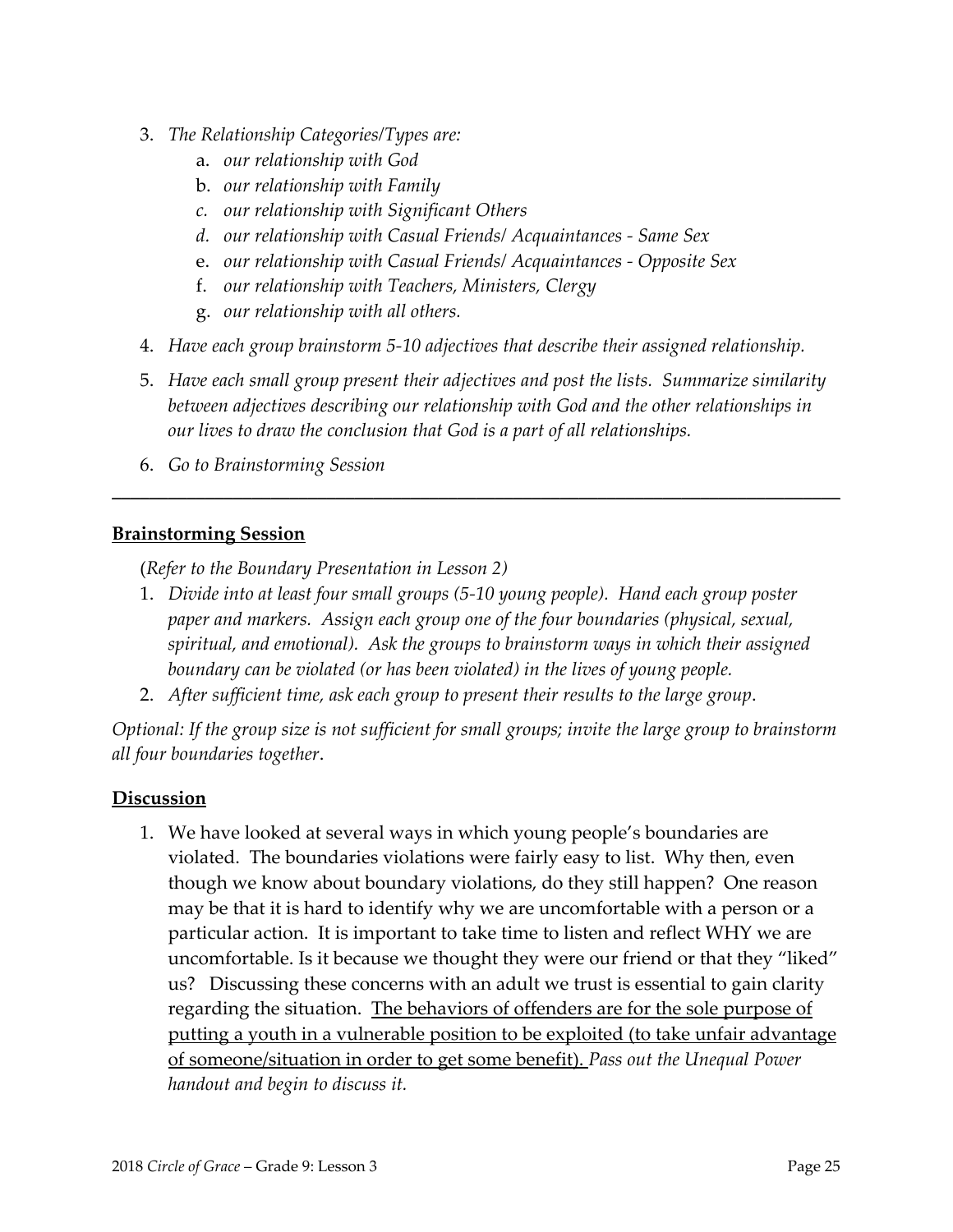- 3. *The Relationship Categories/Types are:*
	- a. *our relationship with God*
	- b. *our relationship with Family*
	- *c. our relationship with Significant Others*
	- *d. our relationship with Casual Friends/ Acquaintances ‐ Same Sex*
	- e. *our relationship with Casual Friends/ Acquaintances ‐ Opposite Sex*
	- f. *our relationship with Teachers, Ministers, Clergy*
	- g. *our relationship with all others.*
- 4. *Have each group brainstorm 5‐10 adjectives that describe their assigned relationship.*
- 5. *Have each small group present their adjectives and post the lists. Summarize similarity between adjectives describing our relationship with God and the other relationships in our lives to draw the conclusion that God is a part of all relationships.*

**\_\_\_\_\_\_\_\_\_\_\_\_\_\_\_\_\_\_\_\_\_\_\_\_\_\_\_\_\_\_\_\_\_\_\_\_\_\_\_\_\_\_\_\_\_\_\_\_\_\_\_\_\_\_\_\_\_\_\_\_\_\_\_\_\_\_\_\_\_\_\_\_\_\_\_\_\_\_**

6. *Go to Brainstorming Session*

#### **Brainstorming Session**

(*Refer to the Boundary Presentation in Lesson 2)*

- 1. *Divide into at least four small groups (5‐10 young people). Hand each group poster paper and markers. Assign each group one of the four boundaries (physical, sexual, spiritual, and emotional). Ask the groups to brainstorm ways in which their assigned boundary can be violated (or has been violated) in the lives of young people.*
- 2. *After sufficient time, ask each group to present their results to the large group*.

*Optional: If the group size is not sufficient for small groups; invite the large group to brainstorm all four boundaries together*.

#### **Discussion**

1. We have looked at several ways in which young people's boundaries are violated. The boundaries violations were fairly easy to list. Why then, even though we know about boundary violations, do they still happen? One reason may be that it is hard to identify why we are uncomfortable with a person or a particular action. It is important to take time to listen and reflect WHY we are uncomfortable. Is it because we thought they were our friend or that they "liked" us? Discussing these concerns with an adult we trust is essential to gain clarity regarding the situation. The behaviors of offenders are for the sole purpose of putting a youth in a vulnerable position to be exploited (to take unfair advantage of someone/situation in order to get some benefit). *Pass out the Unequal Power handout and begin to discuss it.*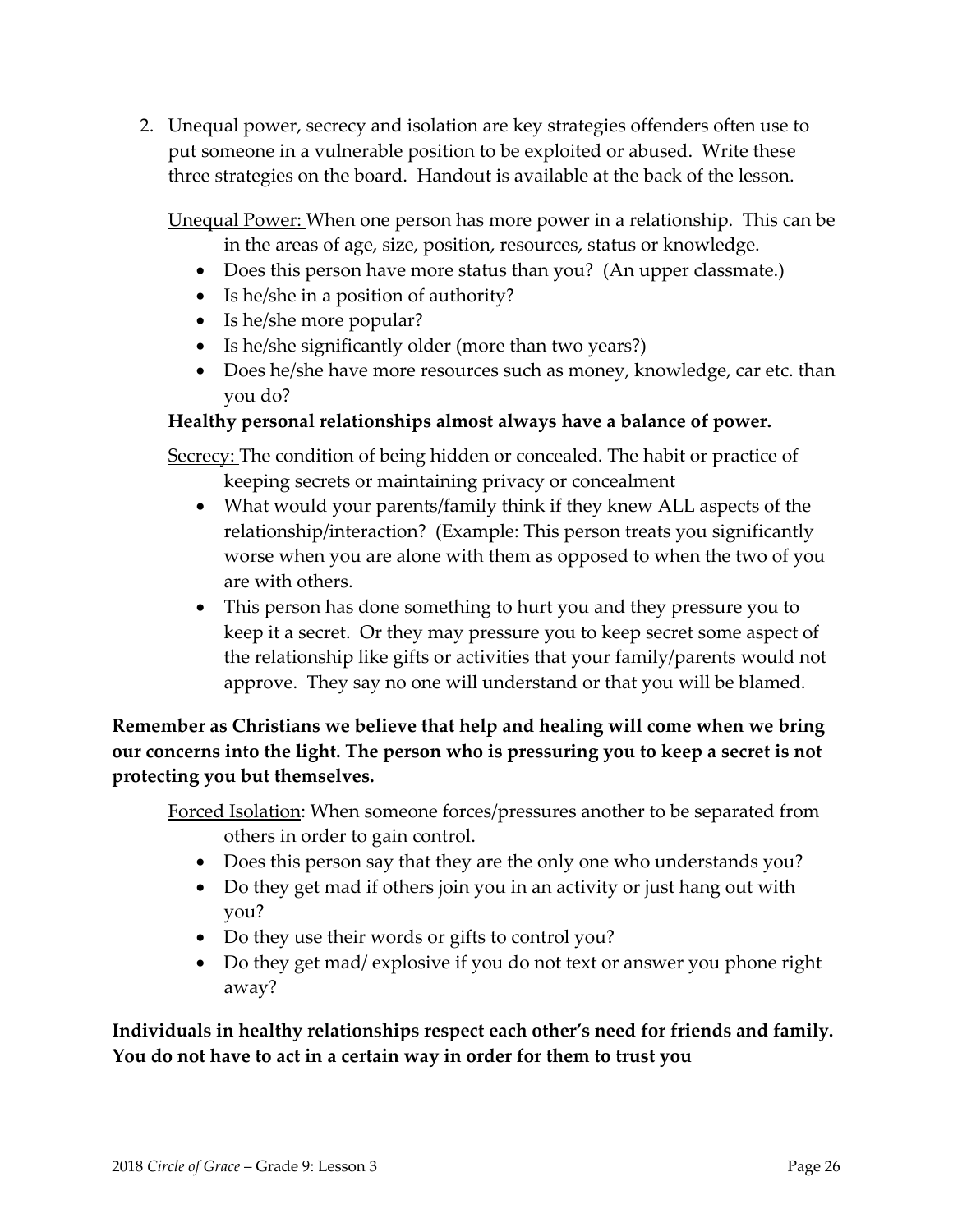2. Unequal power, secrecy and isolation are key strategies offenders often use to put someone in a vulnerable position to be exploited or abused. Write these three strategies on the board. Handout is available at the back of the lesson.

Unequal Power: When one person has more power in a relationship. This can be in the areas of age, size, position, resources, status or knowledge.

- Does this person have more status than you? (An upper classmate.)
- Is he/she in a position of authority?
- Is he/she more popular?
- Is he/she significantly older (more than two years?)
- Does he/she have more resources such as money, knowledge, car etc. than you do?

#### **Healthy personal relationships almost always have a balance of power.**

Secrecy: The condition of being hidden or concealed. The habit or practice of

keeping secrets or maintaining privacy or concealment

- What would your parents/family think if they knew ALL aspects of the relationship/interaction? (Example: This person treats you significantly worse when you are alone with them as opposed to when the two of you are with others.
- This person has done something to hurt you and they pressure you to keep it a secret. Or they may pressure you to keep secret some aspect of the relationship like gifts or activities that your family/parents would not approve. They say no one will understand or that you will be blamed.

**Remember as Christians we believe that help and healing will come when we bring our concerns into the light. The person who is pressuring you to keep a secret is not protecting you but themselves.**

Forced Isolation: When someone forces/pressures another to be separated from others in order to gain control.

- Does this person say that they are the only one who understands you?
- Do they get mad if others join you in an activity or just hang out with you?
- Do they use their words or gifts to control you?
- Do they get mad/ explosive if you do not text or answer you phone right away?

**Individuals in healthy relationships respect each other's need for friends and family. You do not have to act in a certain way in order for them to trust you**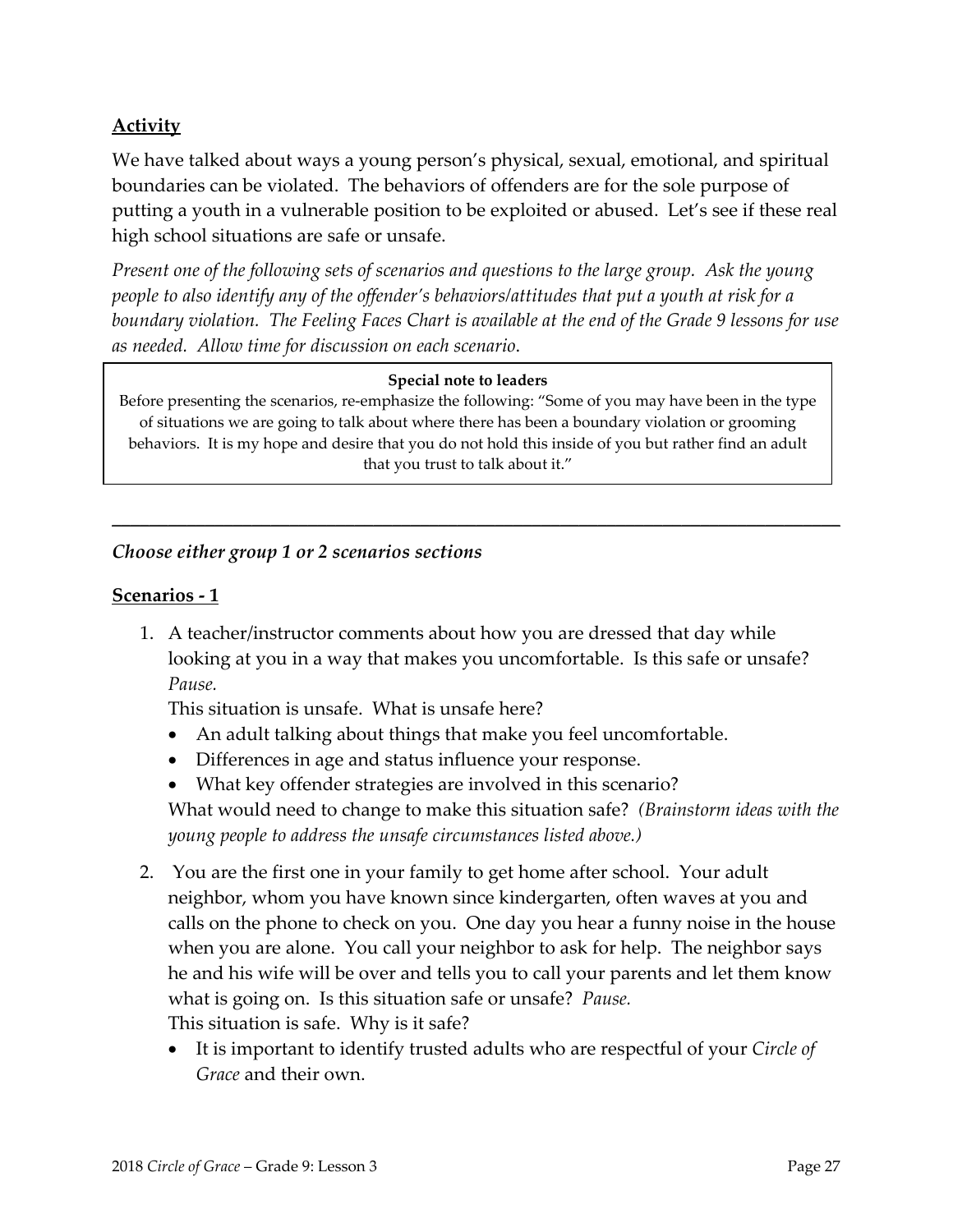# **Activity**

We have talked about ways a young person's physical, sexual, emotional, and spiritual boundaries can be violated. The behaviors of offenders are for the sole purpose of putting a youth in a vulnerable position to be exploited or abused. Let's see if these real high school situations are safe or unsafe.

*Present one of the following sets of scenarios and questions to the large group. Ask the young people to also identify any of the offender's behaviors/attitudes that put a youth at risk for a* boundary violation. The Feeling Faces Chart is available at the end of the Grade 9 lessons for use *as needed. Allow time for discussion on each scenario*.

#### **Special note to leaders**

Before presenting the scenarios, re-emphasize the following: "Some of you may have been in the type of situations we are going to talk about where there has been a boundary violation or grooming behaviors. It is my hope and desire that you do not hold this inside of you but rather find an adult that you trust to talk about it."

**\_\_\_\_\_\_\_\_\_\_\_\_\_\_\_\_\_\_\_\_\_\_\_\_\_\_\_\_\_\_\_\_\_\_\_\_\_\_\_\_\_\_\_\_\_\_\_\_\_\_\_\_\_\_\_\_\_\_\_\_\_\_\_\_\_\_\_\_\_\_\_\_\_\_\_\_\_\_**

#### *Choose either group 1 or 2 scenarios sections*

#### **Scenarios ‐ 1**

1. A teacher/instructor comments about how you are dressed that day while looking at you in a way that makes you uncomfortable. Is this safe or unsafe? *Pause.*

This situation is unsafe. What is unsafe here?

- An adult talking about things that make you feel uncomfortable.
- Differences in age and status influence your response.
- What key offender strategies are involved in this scenario?

What would need to change to make this situation safe? *(Brainstorm ideas with the young people to address the unsafe circumstances listed above.)*

- 2. You are the first one in your family to get home after school. Your adult neighbor, whom you have known since kindergarten, often waves at you and calls on the phone to check on you. One day you hear a funny noise in the house when you are alone. You call your neighbor to ask for help. The neighbor says he and his wife will be over and tells you to call your parents and let them know what is going on. Is this situation safe or unsafe? *Pause.* This situation is safe. Why is it safe?
	- It is important to identify trusted adults who are respectful of your *Circle of Grace* and their own.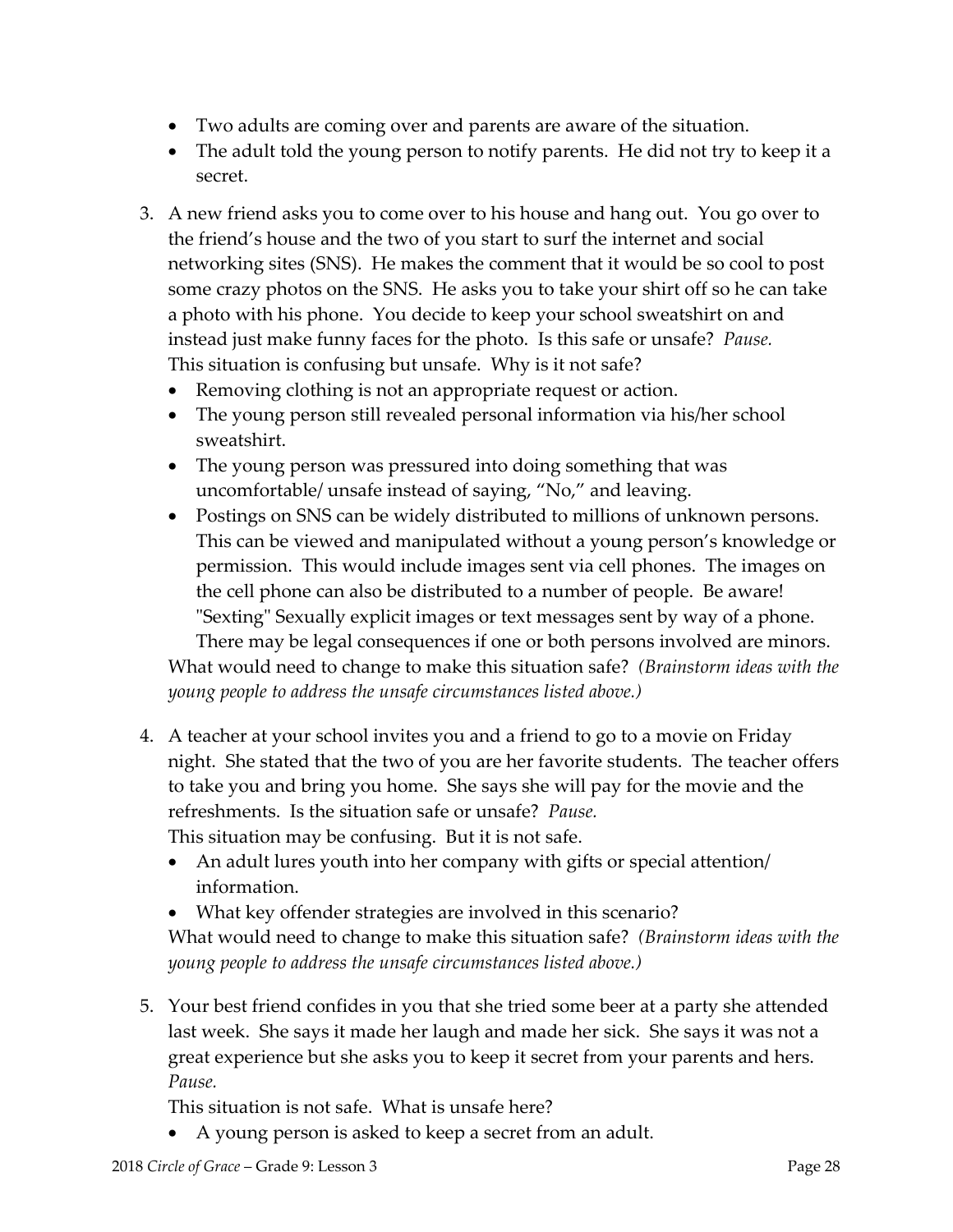- Two adults are coming over and parents are aware of the situation.
- The adult told the young person to notify parents. He did not try to keep it a secret.
- 3. A new friend asks you to come over to his house and hang out. You go over to the friend's house and the two of you start to surf the internet and social networking sites (SNS). He makes the comment that it would be so cool to post some crazy photos on the SNS. He asks you to take your shirt off so he can take a photo with his phone. You decide to keep your school sweatshirt on and instead just make funny faces for the photo. Is this safe or unsafe? *Pause.* This situation is confusing but unsafe. Why is it not safe?
	- Removing clothing is not an appropriate request or action.
	- The young person still revealed personal information via his/her school sweatshirt.
	- The young person was pressured into doing something that was uncomfortable/ unsafe instead of saying, "No," and leaving.
	- Postings on SNS can be widely distributed to millions of unknown persons. This can be viewed and manipulated without a young person's knowledge or permission. This would include images sent via cell phones. The images on the cell phone can also be distributed to a number of people. Be aware! "Sexting" Sexually explicit images or text messages sent by way of a phone. There may be legal consequences if one or both persons involved are minors.

What would need to change to make this situation safe? *(Brainstorm ideas with the young people to address the unsafe circumstances listed above.)* 

- 4. A teacher at your school invites you and a friend to go to a movie on Friday night. She stated that the two of you are her favorite students. The teacher offers to take you and bring you home. She says she will pay for the movie and the refreshments. Is the situation safe or unsafe? *Pause.* This situation may be confusing. But it is not safe.
	- An adult lures youth into her company with gifts or special attention/ information.
	- What key offender strategies are involved in this scenario?

What would need to change to make this situation safe? *(Brainstorm ideas with the young people to address the unsafe circumstances listed above.)*

5. Your best friend confides in you that she tried some beer at a party she attended last week. She says it made her laugh and made her sick. She says it was not a great experience but she asks you to keep it secret from your parents and hers. *Pause.*

This situation is not safe. What is unsafe here?

A young person is asked to keep a secret from an adult.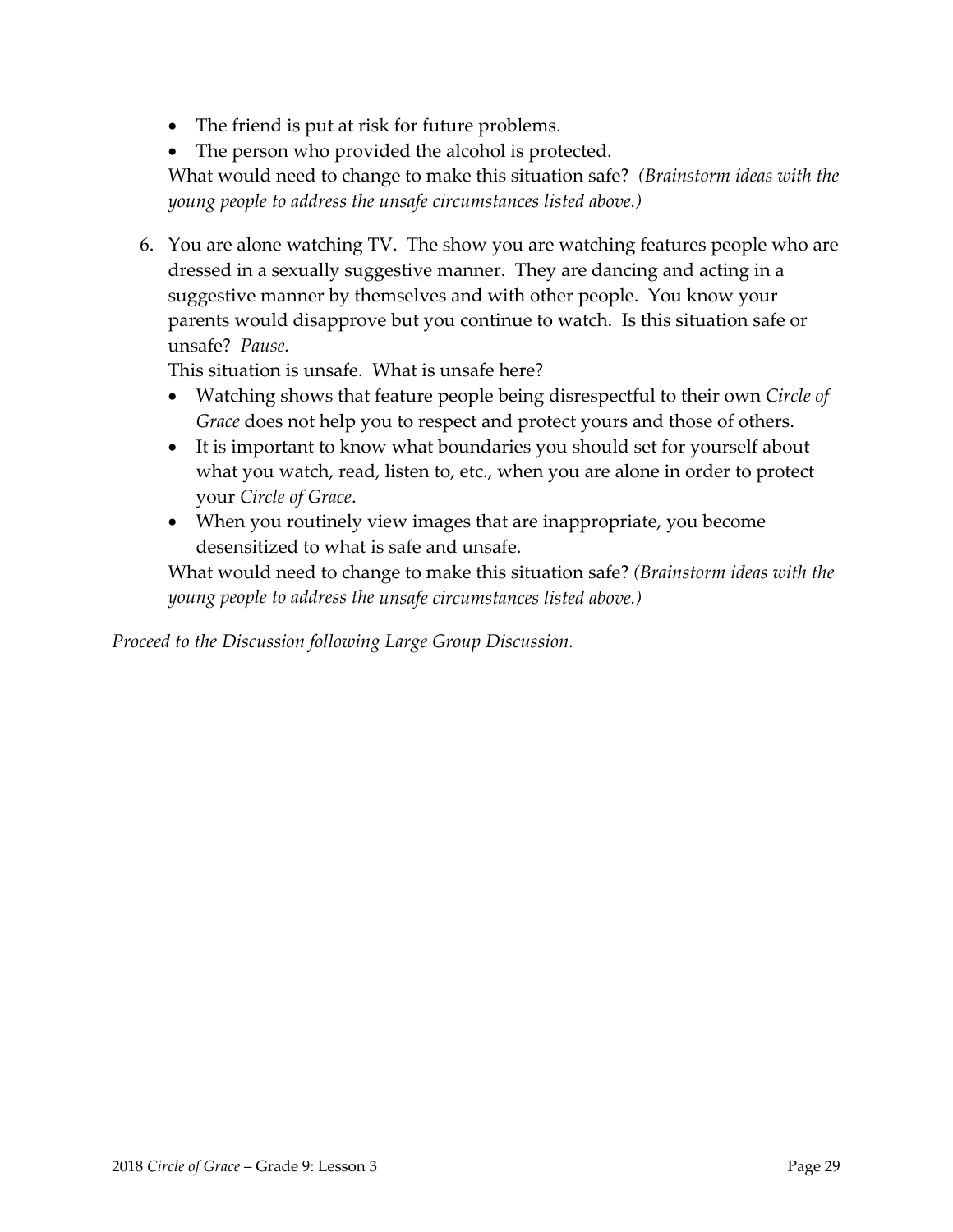- The friend is put at risk for future problems.
- The person who provided the alcohol is protected.

What would need to change to make this situation safe? *(Brainstorm ideas with the young people to address the unsafe circumstances listed above.)*

6. You are alone watching TV. The show you are watching features people who are dressed in a sexually suggestive manner. They are dancing and acting in a suggestive manner by themselves and with other people. You know your parents would disapprove but you continue to watch. Is this situation safe or unsafe? *Pause.*

This situation is unsafe. What is unsafe here?

- Watching shows that feature people being disrespectful to their own *Circle of Grace* does not help you to respect and protect yours and those of others.
- It is important to know what boundaries you should set for yourself about what you watch, read, listen to, etc., when you are alone in order to protect your *Circle of Grace*.
- When you routinely view images that are inappropriate, you become desensitized to what is safe and unsafe.

What would need to change to make this situation safe? *(Brainstorm ideas with the young people to address the unsafe circumstances listed above.)*

*Proceed to the Discussion following Large Group Discussion.*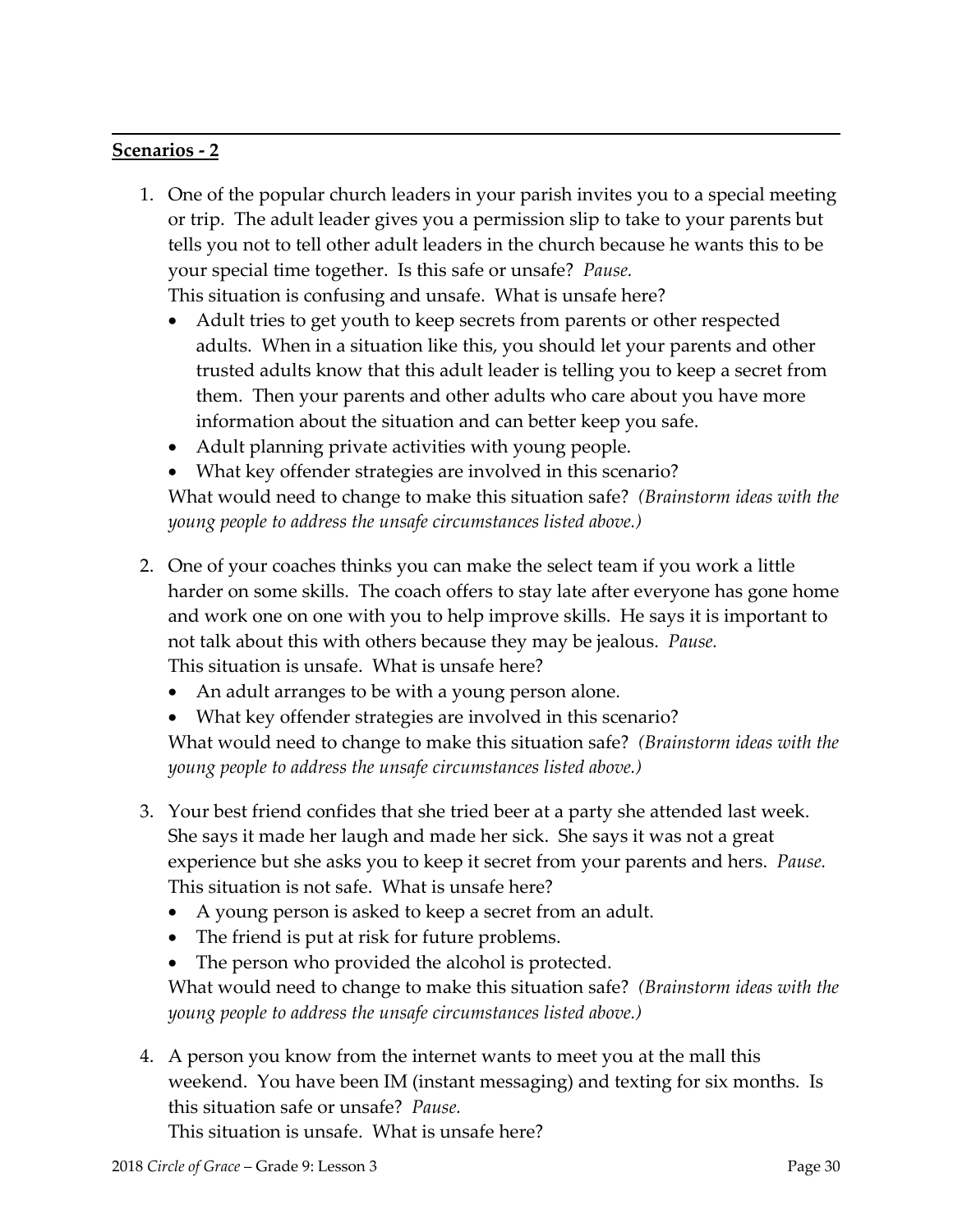### **Scenarios ‐ 2**

1. One of the popular church leaders in your parish invites you to a special meeting or trip. The adult leader gives you a permission slip to take to your parents but tells you not to tell other adult leaders in the church because he wants this to be your special time together. Is this safe or unsafe? *Pause.* This situation is confusing and unsafe. What is unsafe here?

- Adult tries to get youth to keep secrets from parents or other respected adults. When in a situation like this, you should let your parents and other trusted adults know that this adult leader is telling you to keep a secret from them. Then your parents and other adults who care about you have more information about the situation and can better keep you safe.
- Adult planning private activities with young people.
- What key offender strategies are involved in this scenario?

What would need to change to make this situation safe? *(Brainstorm ideas with the young people to address the unsafe circumstances listed above.)*

- 2. One of your coaches thinks you can make the select team if you work a little harder on some skills. The coach offers to stay late after everyone has gone home and work one on one with you to help improve skills. He says it is important to not talk about this with others because they may be jealous. *Pause.* This situation is unsafe. What is unsafe here?
	- An adult arranges to be with a young person alone.
	- What key offender strategies are involved in this scenario?

What would need to change to make this situation safe? *(Brainstorm ideas with the young people to address the unsafe circumstances listed above.)*

- 3. Your best friend confides that she tried beer at a party she attended last week. She says it made her laugh and made her sick. She says it was not a great experience but she asks you to keep it secret from your parents and hers. *Pause.* This situation is not safe. What is unsafe here?
	- A young person is asked to keep a secret from an adult.
	- The friend is put at risk for future problems.
	- The person who provided the alcohol is protected.

What would need to change to make this situation safe? *(Brainstorm ideas with the young people to address the unsafe circumstances listed above.)*

4. A person you know from the internet wants to meet you at the mall this weekend. You have been IM (instant messaging) and texting for six months. Is this situation safe or unsafe? *Pause.*

This situation is unsafe. What is unsafe here?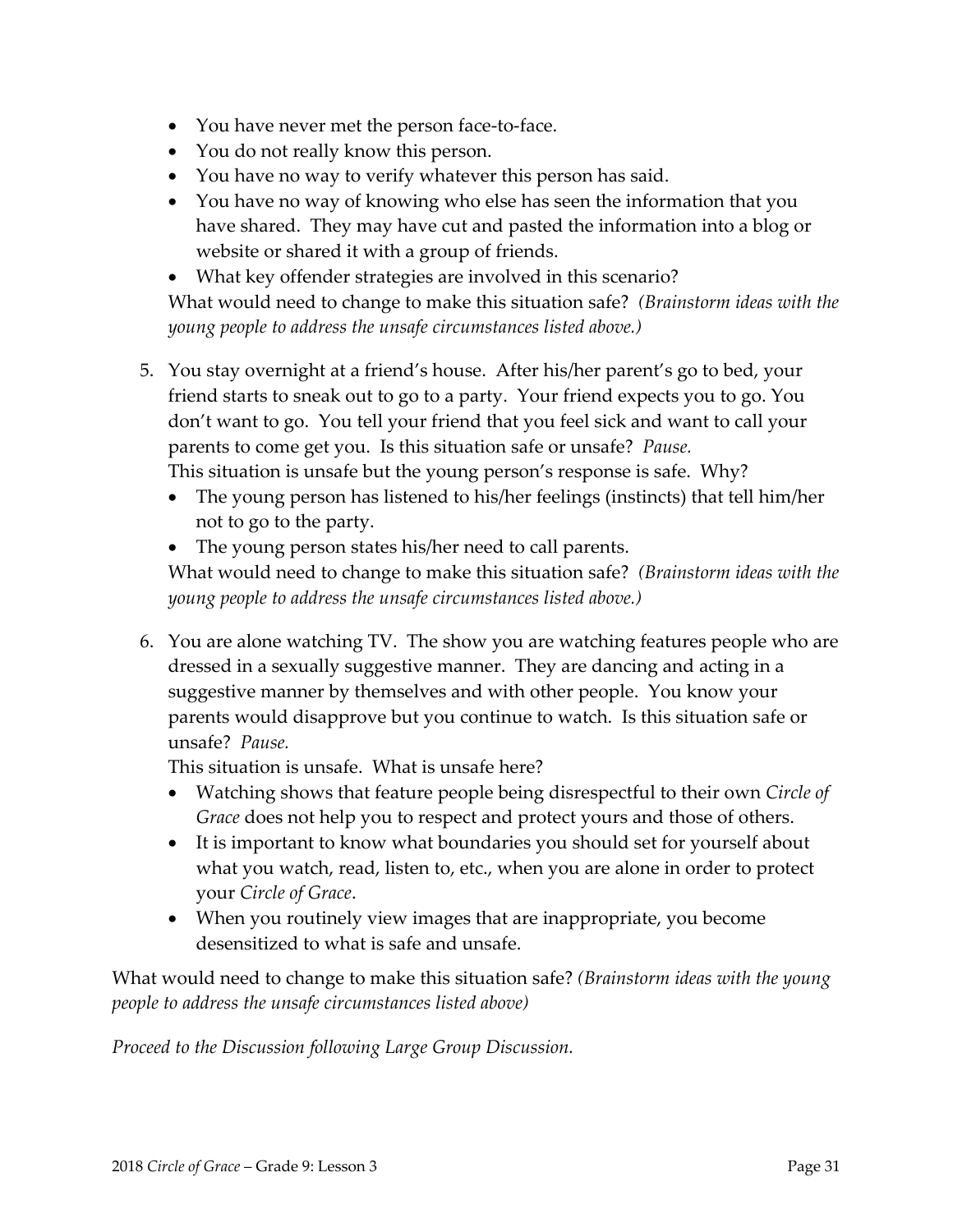- You have never met the person face-to-face.
- You do not really know this person.
- You have no way to verify whatever this person has said.
- You have no way of knowing who else has seen the information that you have shared. They may have cut and pasted the information into a blog or website or shared it with a group of friends.
- What key offender strategies are involved in this scenario? What would need to change to make this situation safe? *(Brainstorm ideas with the young people to address the unsafe circumstances listed above.)*
- 5. You stay overnight at a friend's house. After his/her parent's go to bed, your friend starts to sneak out to go to a party. Your friend expects you to go. You don't want to go. You tell your friend that you feel sick and want to call your parents to come get you. Is this situation safe or unsafe? *Pause.* This situation is unsafe but the young person's response is safe. Why?

The young person has listened to his/her feelings (instincts) that tell him/her

not to go to the party.

• The young person states his/her need to call parents. What would need to change to make this situation safe? *(Brainstorm ideas with the young people to address the unsafe circumstances listed above.)*

6. You are alone watching TV. The show you are watching features people who are dressed in a sexually suggestive manner. They are dancing and acting in a suggestive manner by themselves and with other people. You know your parents would disapprove but you continue to watch. Is this situation safe or unsafe? *Pause.*

This situation is unsafe. What is unsafe here?

- Watching shows that feature people being disrespectful to their own *Circle of Grace* does not help you to respect and protect yours and those of others.
- It is important to know what boundaries you should set for yourself about what you watch, read, listen to, etc., when you are alone in order to protect your *Circle of Grace*.
- When you routinely view images that are inappropriate, you become desensitized to what is safe and unsafe.

What would need to change to make this situation safe? *(Brainstorm ideas with the young people to address the unsafe circumstances listed above)*

*Proceed to the Discussion following Large Group Discussion.*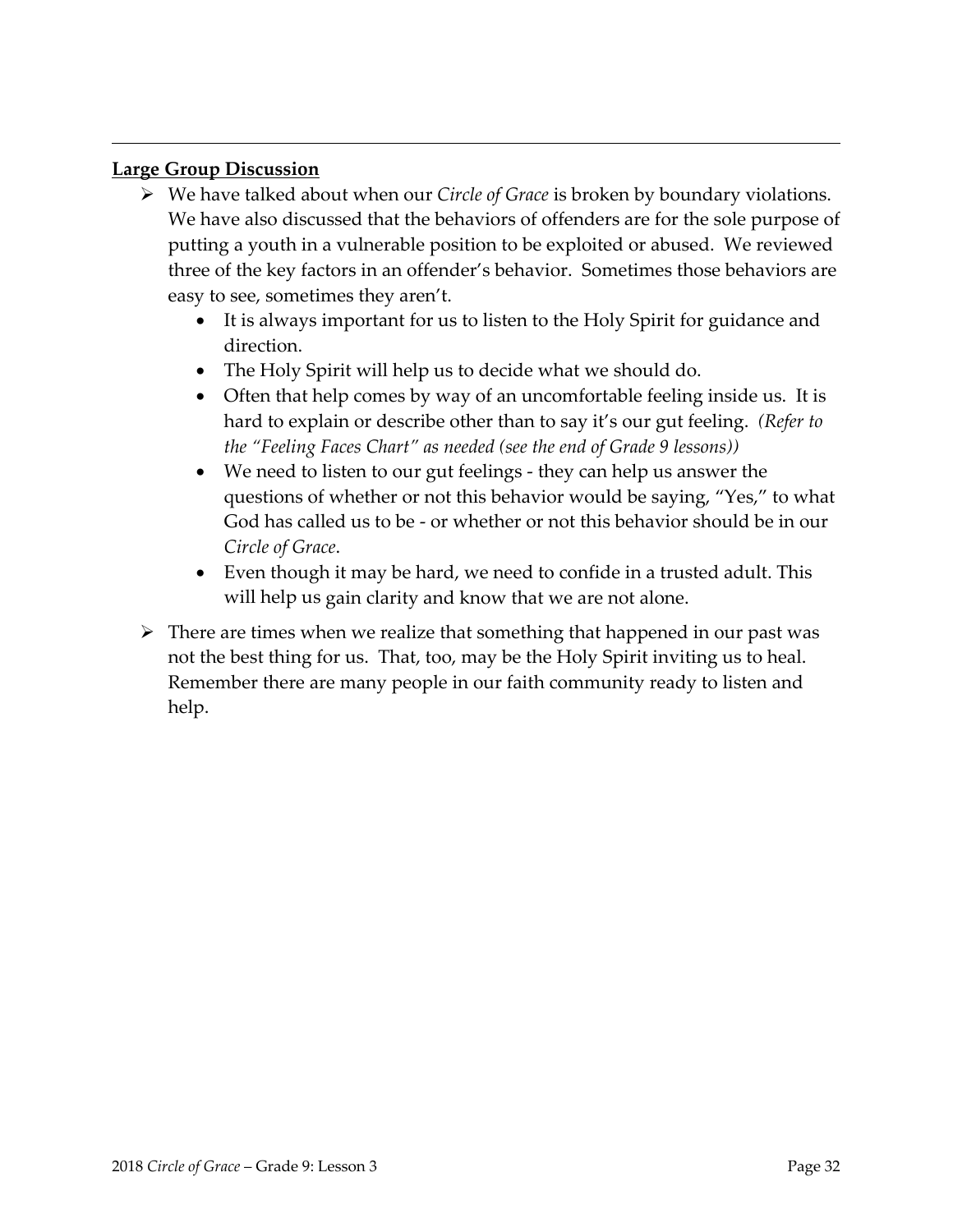#### **Large Group Discussion**

- We have talked about when our *Circle of Grace* is broken by boundary violations. We have also discussed that the behaviors of offenders are for the sole purpose of putting a youth in a vulnerable position to be exploited or abused. We reviewed three of the key factors in an offender's behavior. Sometimes those behaviors are easy to see, sometimes they aren't.
	- It is always important for us to listen to the Holy Spirit for guidance and direction.
	- The Holy Spirit will help us to decide what we should do.

- Often that help comes by way of an uncomfortable feeling inside us. It is hard to explain or describe other than to say it's our gut feeling. *(Refer to the "Feeling Faces Chart" as needed (see the end of Grade 9 lessons))*
- We need to listen to our gut feelings they can help us answer the questions of whether or not this behavior would be saying, "Yes," to what God has called us to be ‐ or whether or not this behavior should be in our *Circle of Grace*.
- Even though it may be hard, we need to confide in a trusted adult. This will help us gain clarity and know that we are not alone.
- $\triangleright$  There are times when we realize that something that happened in our past was not the best thing for us. That, too, may be the Holy Spirit inviting us to heal. Remember there are many people in our faith community ready to listen and help.